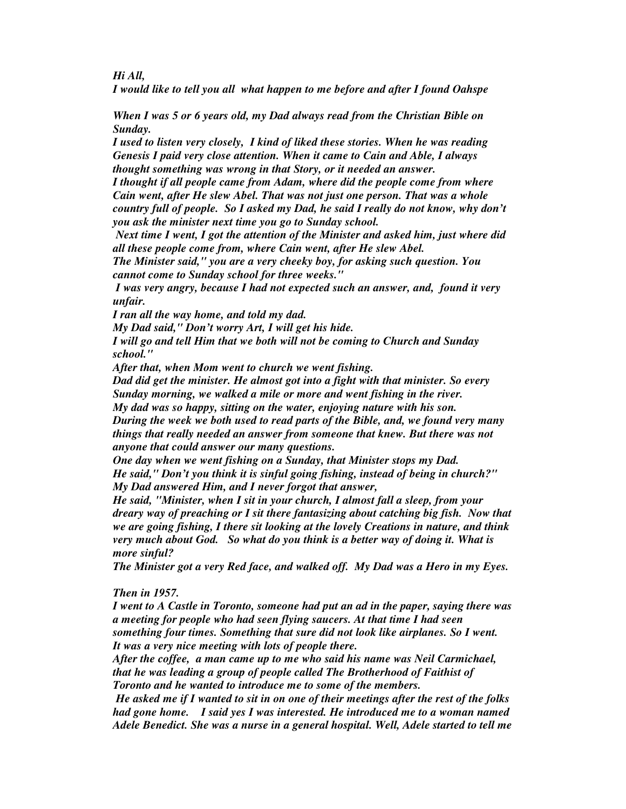*Hi All,*

*I would like to tell you all what happen to me before and after I found Oahspe*

*When I was 5 or 6 years old, my Dad always read from the Christian Bible on Sunday.*

*I used to listen very closely, I kind of liked these stories. When he was reading Genesis I paid very close attention. When it came to Cain and Able, I always thought something was wrong in that Story, or it needed an answer.*

*I thought if all people came from Adam, where did the people come from where Cain went, after He slew Abel. That was not just one person. That was a whole country full of people. So I asked my Dad, he said I really do not know, why don't you ask the minister next time you go to Sunday school.*

*Next time I went, I got the attention of the Minister and asked him, just where did all these people come from, where Cain went, after He slew Abel.*

*The Minister said," you are a very cheeky boy, for asking such question. You cannot come to Sunday school for three weeks."*

*I was very angry, because I had not expected such an answer, and, found it very unfair.*

*I ran all the way home, and told my dad.*

*My Dad said," Don't worry Art, I will get his hide.*

*I will go and tell Him that we both will not be coming to Church and Sunday school."*

*After that, when Mom went to church we went fishing.*

*Dad did get the minister. He almost got into a fight with that minister. So every Sunday morning, we walked a mile or more and went fishing in the river. My dad was so happy, sitting on the water, enjoying nature with his son. During the week we both used to read parts of the Bible, and, we found very many things that really needed an answer from someone that knew. But there was not*

*anyone that could answer our many questions.*

*One day when we went fishing on a Sunday, that Minister stops my Dad. He said," Don't you think it is sinful going fishing, instead of being in church?" My Dad answered Him, and I never forgot that answer,*

*He said, "Minister, when I sit in your church, I almost fall a sleep, from your dreary way of preaching or I sit there fantasizing about catching big fish. Now that we are going fishing, I there sit looking at the lovely Creations in nature, and think very much about God. So what do you think is a better way of doing it. What is more sinful?*

*The Minister got a very Red face, and walked off. My Dad was a Hero in my Eyes.*

## *Then in 1957.*

*I went to A Castle in Toronto, someone had put an ad in the paper, saying there was a meeting for people who had seen flying saucers. At that time I had seen something four times. Something that sure did not look like airplanes. So I went. It was a very nice meeting with lots of people there.*

*After the coffee, a man came up to me who said his name was Neil Carmichael, that he was leading a group of people called The Brotherhood of Faithist of Toronto and he wanted to introduce me to some of the members.*

He asked me if I wanted to sit in on one of their meetings after the rest of the folks *had gone home. I said yes I was interested. He introduced me to a woman named Adele Benedict. She was a nurse in a general hospital. Well, Adele started to tell me*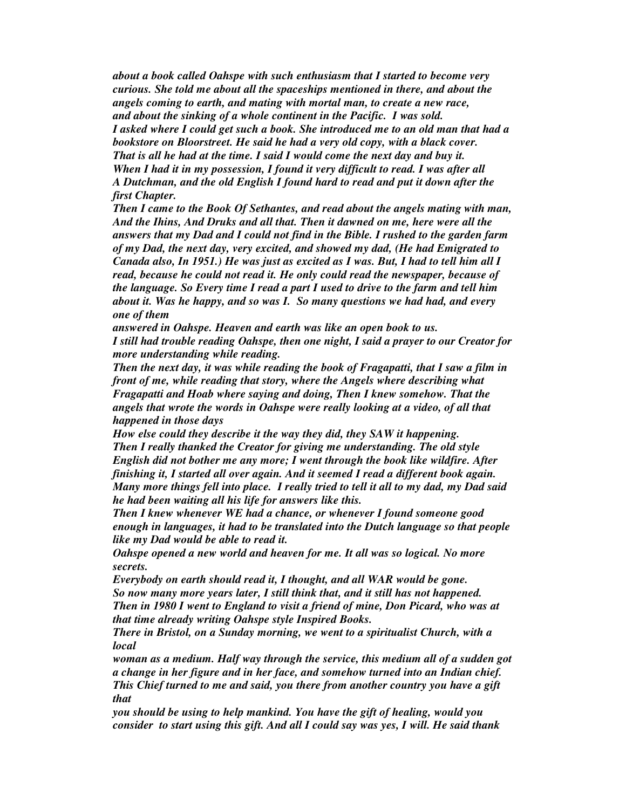*about a book called Oahspe with such enthusiasm that I started to become very curious. She told me about all the spaceships mentioned in there, and about the angels coming to earth, and mating with mortal man, to create a new race, and about the sinking of a whole continent in the Pacific. I was sold. I asked where I could get such a book. She introduced me to an old man that had a bookstore on Bloorstreet. He said he had a very old copy, with a black cover. That is all he had at the time. I said I would come the next day and buy it. When I had it in my possession, I found it very difficult to read. I was after all A Dutchman, and the old English I found hard to read and put it down after the first Chapter.*

*Then I came to the Book Of Sethantes, and read about the angels mating with man, And the Ihins, And Druks and all that. Then it dawned on me, here were all the answers that my Dad and I could not find in the Bible. I rushed to the garden farm of my Dad, the next day, very excited, and showed my dad, (He had Emigrated to Canada also, In 1951.) He was just as excited as I was. But, I had to tell him all I read, because he could not read it. He only could read the newspaper, because of the language. So Every time I read a part I used to drive to the farm and tell him about it. Was he happy, and so was I. So many questions we had had, and every one of them*

*answered in Oahspe. Heaven and earth was like an open book to us. I still had trouble reading Oahspe, then one night, I said a prayer to our Creator for more understanding while reading.*

*Then the next day, it was while reading the book of Fragapatti, that I saw a film in front of me, while reading that story, where the Angels where describing what Fragapatti and Hoab where saying and doing, Then I knew somehow. That the angels that wrote the words in Oahspe were really looking at a video, of all that happened in those days*

*How else could they describe it the way they did, they SAW it happening. Then I really thanked the Creator for giving me understanding. The old style English did not bother me any more; I went through the book like wildfire. After finishing it, I started all over again. And it seemed I read a different book again. Many more things fell into place. I really tried to tell it all to my dad, my Dad said he had been waiting all his life for answers like this.*

*Then I knew whenever WE had a chance, or whenever I found someone good enough in languages, it had to be translated into the Dutch language so that people like my Dad would be able to read it.*

*Oahspe opened a new world and heaven for me. It all was so logical. No more secrets.*

*Everybody on earth should read it, I thought, and all WAR would be gone. So now many more years later, I still think that, and it still has not happened. Then in 1980 I went to England to visit a friend of mine, Don Picard, who was at that time already writing Oahspe style Inspired Books.*

*There in Bristol, on a Sunday morning, we went to a spiritualist Church, with a local*

*woman as a medium. Half way through the service, this medium all of a sudden got a change in her figure and in her face, and somehow turned into an Indian chief. This Chief turned to me and said, you there from another country you have a gift that*

*you should be using to help mankind. You have the gift of healing, would you consider to start using this gift. And all I could say was yes, I will. He said thank*